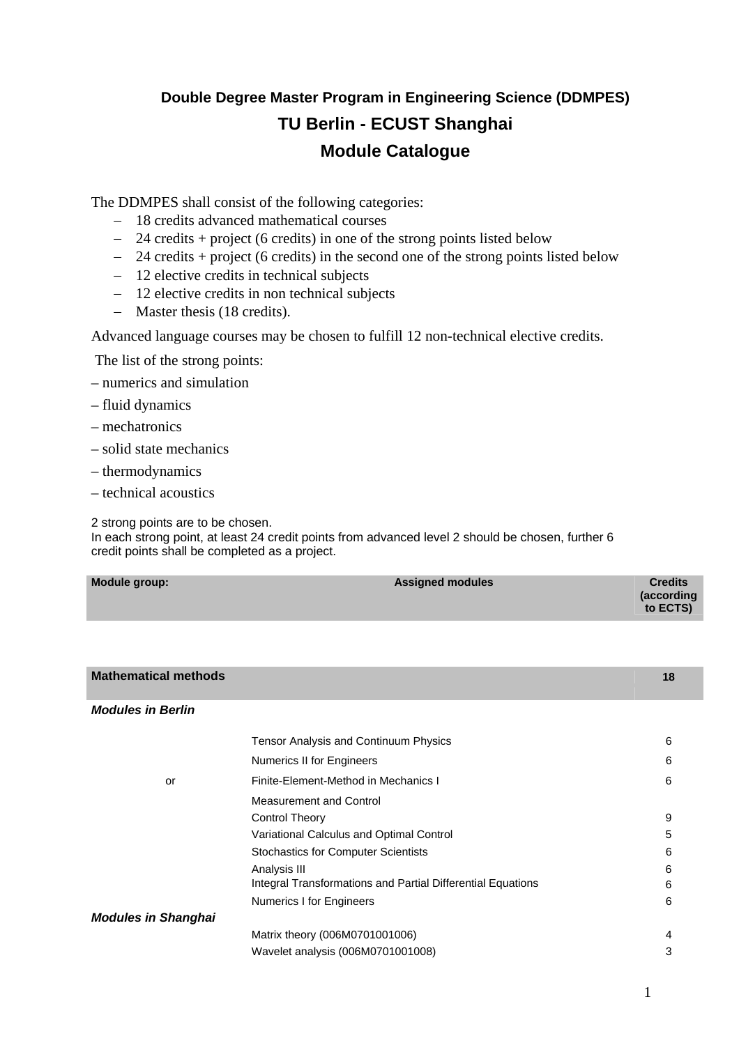# **Double Degree Master Program in Engineering Science (DDMPES) TU Berlin - ECUST Shanghai Module Catalogue**

The DDMPES shall consist of the following categories:

- − 18 credits advanced mathematical courses
- − 24 credits + project (6 credits) in one of the strong points listed below
- − 24 credits + project (6 credits) in the second one of the strong points listed below
- − 12 elective credits in technical subjects
- − 12 elective credits in non technical subjects
- − Master thesis (18 credits).

Advanced language courses may be chosen to fulfill 12 non-technical elective credits.

The list of the strong points:

- numerics and simulation
- fluid dynamics
- mechatronics
- solid state mechanics
- thermodynamics
- technical acoustics

2 strong points are to be chosen.

In each strong point, at least 24 credit points from advanced level 2 should be chosen, further 6 credit points shall be completed as a project.

| Module group: | <b>Assigned modules</b> | <b>Credits</b>         |
|---------------|-------------------------|------------------------|
|               |                         | (according<br>to ECTS) |

| <b>Mathematical methods</b> |                                                             | 18 |
|-----------------------------|-------------------------------------------------------------|----|
| <b>Modules in Berlin</b>    |                                                             |    |
|                             | <b>Tensor Analysis and Continuum Physics</b>                | 6  |
|                             | Numerics II for Engineers                                   | 6  |
| or                          | Finite-Element-Method in Mechanics I                        | 6  |
|                             | <b>Measurement and Control</b>                              |    |
|                             | <b>Control Theory</b>                                       | 9  |
|                             | Variational Calculus and Optimal Control                    | 5  |
|                             | <b>Stochastics for Computer Scientists</b>                  | 6  |
|                             | Analysis III                                                | 6  |
|                             | Integral Transformations and Partial Differential Equations | 6  |
|                             | <b>Numerics I for Engineers</b>                             | 6  |
| <b>Modules in Shanghai</b>  |                                                             |    |
|                             | Matrix theory (006M0701001006)                              | 4  |
|                             | Wavelet analysis (006M0701001008)                           | 3  |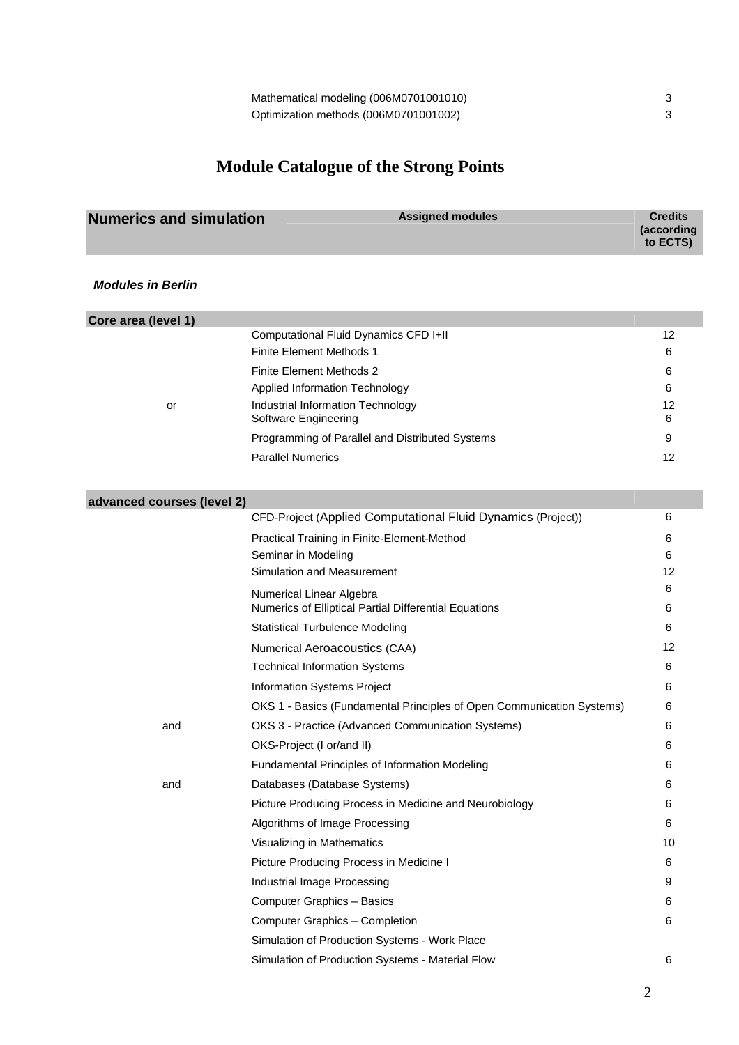## **Module Catalogue of the Strong Points**

| <b>Numerics and simulation</b> | <b>Assigned modules</b> | <b>Credits</b><br>(according<br>to ECTS) |
|--------------------------------|-------------------------|------------------------------------------|
|                                |                         |                                          |

*Modules in Berlin* 

| Core area (level 1)        |                                                 |    |
|----------------------------|-------------------------------------------------|----|
|                            | Computational Fluid Dynamics CFD I+II           | 12 |
|                            | Finite Element Methods 1                        | 6  |
|                            | Finite Element Methods 2                        | 6  |
|                            | Applied Information Technology                  | 6  |
| or                         | Industrial Information Technology               | 12 |
|                            | Software Engineering                            | 6  |
|                            | Programming of Parallel and Distributed Systems | 9  |
|                            | <b>Parallel Numerics</b>                        | 12 |
|                            |                                                 |    |
| advanced courses (level 2) |                                                 |    |

|     | CFD-Project (Applied Computational Fluid Dynamics (Project))                      | 6      |
|-----|-----------------------------------------------------------------------------------|--------|
|     | Practical Training in Finite-Element-Method                                       | 6      |
|     | Seminar in Modeling                                                               | 6      |
|     | Simulation and Measurement                                                        | 12     |
|     | Numerical Linear Algebra<br>Numerics of Elliptical Partial Differential Equations | 6<br>6 |
|     | <b>Statistical Turbulence Modeling</b>                                            | 6      |
|     | Numerical Aeroacoustics (CAA)                                                     | 12     |
|     | <b>Technical Information Systems</b>                                              | 6      |
|     | Information Systems Project                                                       | 6      |
|     | OKS 1 - Basics (Fundamental Principles of Open Communication Systems)             | 6      |
| and | OKS 3 - Practice (Advanced Communication Systems)                                 | 6      |
|     | OKS-Project (I or/and II)                                                         | 6      |
|     | Fundamental Principles of Information Modeling                                    | 6      |
| and | Databases (Database Systems)                                                      | 6      |
|     | Picture Producing Process in Medicine and Neurobiology                            | 6      |
|     | Algorithms of Image Processing                                                    | 6      |
|     | Visualizing in Mathematics                                                        | 10     |
|     | Picture Producing Process in Medicine I                                           | 6      |
|     | Industrial Image Processing                                                       | 9      |
|     | Computer Graphics - Basics                                                        | 6      |
|     | Computer Graphics - Completion                                                    | 6      |
|     | Simulation of Production Systems - Work Place                                     |        |

Simulation of Production Systems - Material Flow 6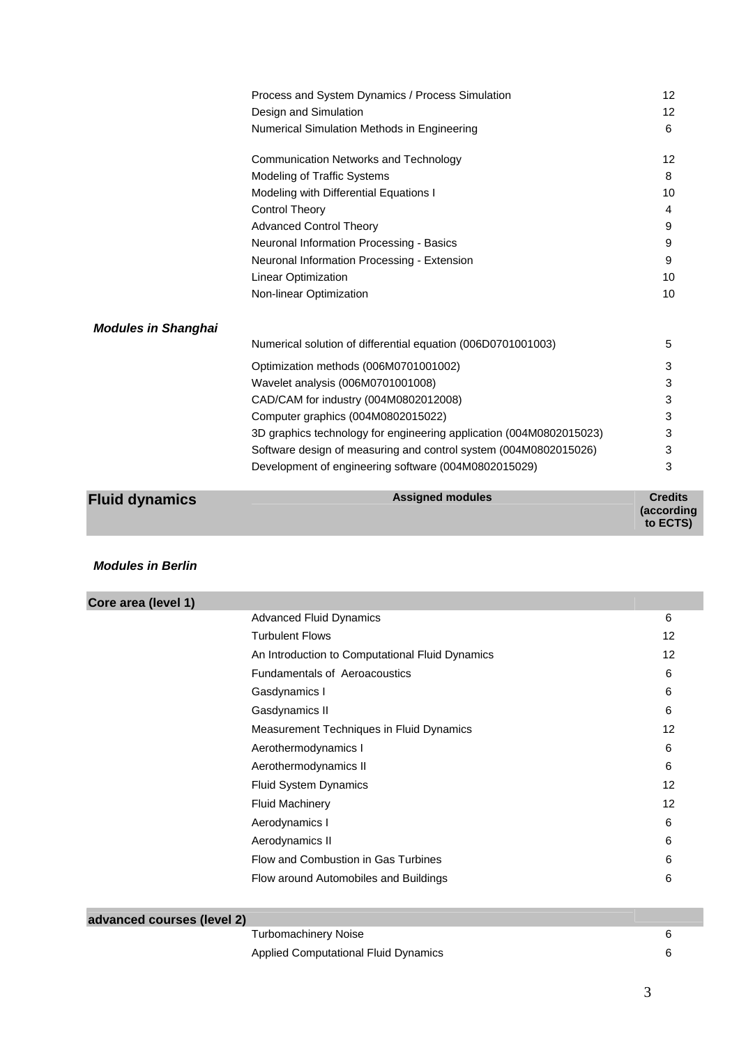|                            | Process and System Dynamics / Process Simulation                    | 12 |
|----------------------------|---------------------------------------------------------------------|----|
|                            | Design and Simulation                                               | 12 |
|                            | Numerical Simulation Methods in Engineering                         | 6  |
|                            | <b>Communication Networks and Technology</b>                        | 12 |
|                            | Modeling of Traffic Systems                                         | 8  |
|                            | Modeling with Differential Equations I                              | 10 |
|                            | <b>Control Theory</b>                                               | 4  |
|                            | <b>Advanced Control Theory</b>                                      | 9  |
|                            | Neuronal Information Processing - Basics                            | 9  |
|                            | Neuronal Information Processing - Extension                         | 9  |
|                            | Linear Optimization                                                 | 10 |
|                            | Non-linear Optimization                                             | 10 |
| <b>Modules in Shanghai</b> |                                                                     |    |
|                            | Numerical solution of differential equation (006D0701001003)        | 5  |
|                            | Optimization methods (006M0701001002)                               | 3  |
|                            | Wavelet analysis (006M0701001008)                                   | 3  |
|                            | CAD/CAM for industry (004M0802012008)                               | 3  |
|                            | Computer graphics (004M0802015022)                                  | 3  |
|                            | 3D graphics technology for engineering application (004M0802015023) | 3  |
|                            | Software design of measuring and control system (004M0802015026)    | 3  |
|                            | Development of engineering software (004M0802015029)                | 3  |

| <b>Fluid dynamics</b> | <b>Assigned modules</b> | <b>Credits</b><br>(according<br>to ECTS) |
|-----------------------|-------------------------|------------------------------------------|
|                       |                         |                                          |

### *Modules in Berlin*

| Core area (level 1)        |                                                 |    |
|----------------------------|-------------------------------------------------|----|
|                            | <b>Advanced Fluid Dynamics</b>                  | 6  |
|                            | <b>Turbulent Flows</b>                          | 12 |
|                            | An Introduction to Computational Fluid Dynamics | 12 |
|                            | <b>Fundamentals of Aeroacoustics</b>            | 6  |
|                            | Gasdynamics I                                   | 6  |
|                            | Gasdynamics II                                  | 6  |
|                            | Measurement Techniques in Fluid Dynamics        | 12 |
|                            | Aerothermodynamics I                            | 6  |
|                            | Aerothermodynamics II                           | 6  |
|                            | <b>Fluid System Dynamics</b>                    | 12 |
|                            | <b>Fluid Machinery</b>                          | 12 |
|                            | Aerodynamics I                                  | 6  |
|                            | Aerodynamics II                                 | 6  |
|                            | Flow and Combustion in Gas Turbines             | 6  |
|                            | Flow around Automobiles and Buildings           | 6  |
|                            |                                                 |    |
| advanced courses (level 2) |                                                 |    |
|                            | <b>Turbomachinery Noise</b>                     | 6  |

| Applied Computational Fluid Dynamics |  |
|--------------------------------------|--|
|                                      |  |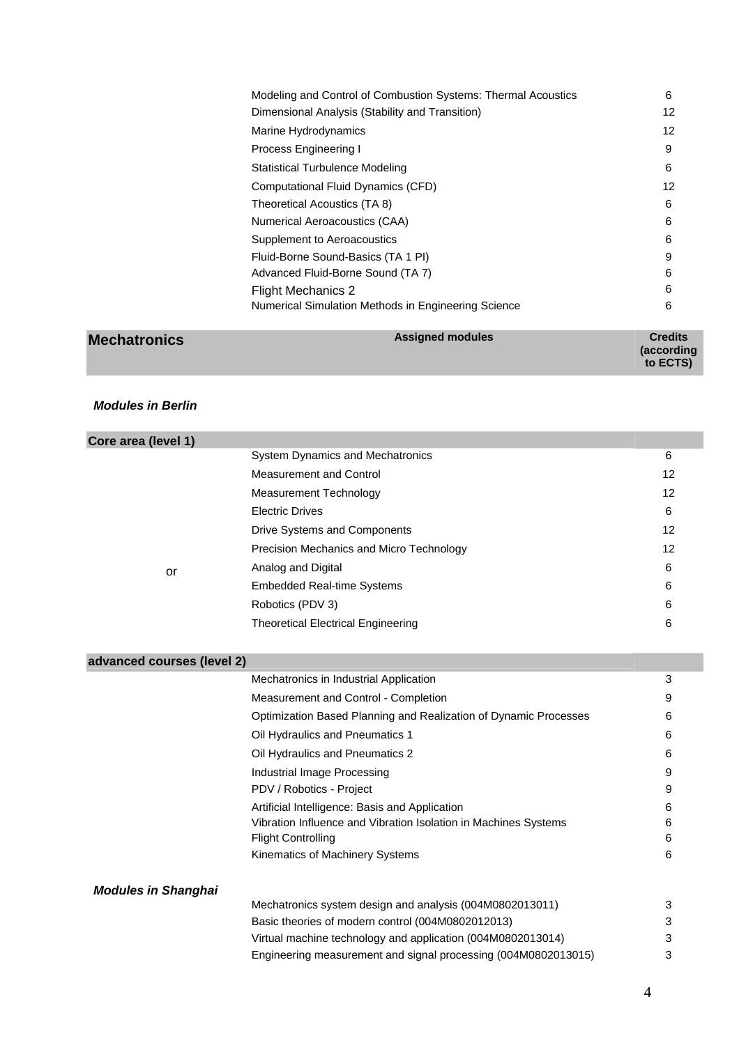| Modeling and Control of Combustion Systems: Thermal Acoustics | 6  |
|---------------------------------------------------------------|----|
| Dimensional Analysis (Stability and Transition)               | 12 |
| Marine Hydrodynamics                                          | 12 |
| Process Engineering I                                         | 9  |
| Statistical Turbulence Modeling                               | 6  |
| Computational Fluid Dynamics (CFD)                            | 12 |
| Theoretical Acoustics (TA 8)                                  | 6  |
| Numerical Aeroacoustics (CAA)                                 | 6  |
| Supplement to Aeroacoustics                                   | 6  |
| Fluid-Borne Sound-Basics (TA 1 PI)                            | 9  |
| Advanced Fluid-Borne Sound (TA 7)                             | 6  |
| <b>Flight Mechanics 2</b>                                     | 6  |
| Numerical Simulation Methods in Engineering Science           | 6  |
|                                                               |    |

| <b>Mechatronics</b> | <b>Assigned modules</b> | <b>Credits</b>         |
|---------------------|-------------------------|------------------------|
|                     |                         | (according<br>to ECTS) |

## *Modules in Berlin*

| Core area (level 1)        |                                                                                                                   |                   |
|----------------------------|-------------------------------------------------------------------------------------------------------------------|-------------------|
|                            | System Dynamics and Mechatronics                                                                                  | 6                 |
|                            | <b>Measurement and Control</b>                                                                                    | $12 \overline{ }$ |
|                            | <b>Measurement Technology</b>                                                                                     | 12                |
|                            | <b>Electric Drives</b>                                                                                            | 6                 |
|                            | Drive Systems and Components                                                                                      | 12                |
|                            | Precision Mechanics and Micro Technology                                                                          | 12                |
| or                         | Analog and Digital                                                                                                | 6                 |
|                            | <b>Embedded Real-time Systems</b>                                                                                 | 6                 |
|                            | Robotics (PDV 3)                                                                                                  | 6                 |
|                            | <b>Theoretical Electrical Engineering</b>                                                                         | 6                 |
| advanced courses (level 2) |                                                                                                                   |                   |
|                            | Mechatronics in Industrial Application                                                                            | 3                 |
|                            |                                                                                                                   | 9                 |
|                            | Measurement and Control - Completion                                                                              |                   |
|                            | Optimization Based Planning and Realization of Dynamic Processes                                                  | 6                 |
|                            | Oil Hydraulics and Pneumatics 1                                                                                   | 6                 |
|                            | Oil Hydraulics and Pneumatics 2                                                                                   | 6                 |
|                            | Industrial Image Processing                                                                                       | 9                 |
|                            | PDV / Robotics - Project                                                                                          | 9                 |
|                            | Artificial Intelligence: Basis and Application<br>Vibration Influence and Vibration Isolation in Machines Systems | 6                 |
|                            | <b>Flight Controlling</b>                                                                                         | 6<br>6            |
|                            | Kinematics of Machinery Systems                                                                                   | 6                 |
| <b>Modules in Shanghai</b> |                                                                                                                   |                   |
|                            | Mechatronics system design and analysis (004M0802013011)                                                          | 3                 |
|                            | Basic theories of modern control (004M0802012013)                                                                 | 3                 |
|                            | Virtual machine technology and application (004M0802013014)                                                       | 3                 |

Engineering measurement and signal processing (004M0802013015) 3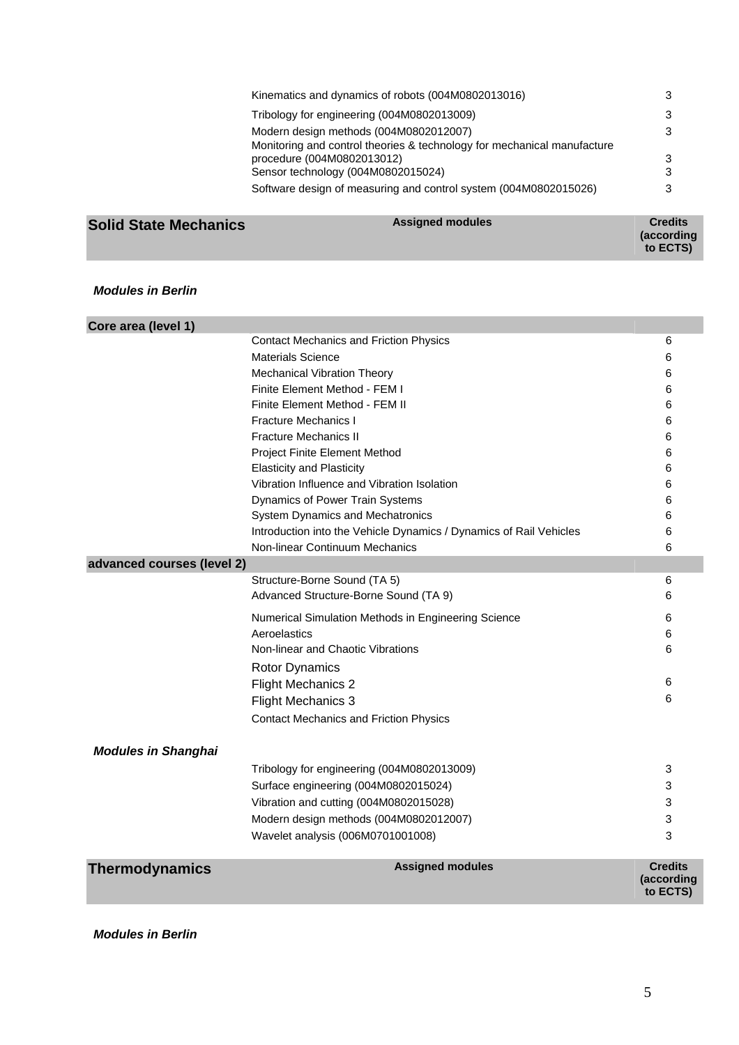|                                    | Kinematics and dynamics of robots (004M0802013016)                           |  |
|------------------------------------|------------------------------------------------------------------------------|--|
|                                    | Tribology for engineering (004M0802013009)<br>3                              |  |
|                                    | Modern design methods (004M0802012007)<br>3                                  |  |
| procedure (004M0802013012)         | Monitoring and control theories & technology for mechanical manufacture<br>3 |  |
| Sensor technology (004M0802015024) | 3                                                                            |  |
|                                    | Software design of measuring and control system (004M0802015026)<br>з        |  |
|                                    |                                                                              |  |

#### **Solid State Mechanics** Assigned modules Assigned modules Assigned modules and the Credits of Credits and Trumpers

**(according to ECTS)** 

#### *Modules in Berlin*

| Core area (level 1)        |                                                                    |                                          |
|----------------------------|--------------------------------------------------------------------|------------------------------------------|
|                            | <b>Contact Mechanics and Friction Physics</b>                      | 6                                        |
|                            | <b>Materials Science</b>                                           | 6                                        |
|                            | Mechanical Vibration Theory                                        | 6                                        |
|                            | Finite Element Method - FEM I                                      | 6                                        |
|                            | Finite Element Method - FEM II                                     | 6                                        |
|                            | <b>Fracture Mechanics I</b>                                        | 6                                        |
|                            | <b>Fracture Mechanics II</b>                                       | 6                                        |
|                            | <b>Project Finite Element Method</b>                               | 6                                        |
|                            | <b>Elasticity and Plasticity</b>                                   | 6                                        |
|                            | Vibration Influence and Vibration Isolation                        | 6                                        |
|                            | Dynamics of Power Train Systems                                    | 6                                        |
|                            | System Dynamics and Mechatronics                                   | 6                                        |
|                            | Introduction into the Vehicle Dynamics / Dynamics of Rail Vehicles | 6                                        |
|                            | Non-linear Continuum Mechanics                                     | 6                                        |
| advanced courses (level 2) |                                                                    |                                          |
|                            | Structure-Borne Sound (TA 5)                                       | 6                                        |
|                            | Advanced Structure-Borne Sound (TA 9)                              | 6                                        |
|                            | Numerical Simulation Methods in Engineering Science                | 6                                        |
|                            | Aeroelastics                                                       | 6                                        |
|                            | Non-linear and Chaotic Vibrations                                  | 6                                        |
|                            | <b>Rotor Dynamics</b>                                              |                                          |
|                            | <b>Flight Mechanics 2</b>                                          | 6                                        |
|                            | <b>Flight Mechanics 3</b>                                          | 6                                        |
|                            | <b>Contact Mechanics and Friction Physics</b>                      |                                          |
| <b>Modules in Shanghai</b> |                                                                    |                                          |
|                            | Tribology for engineering (004M0802013009)                         | 3                                        |
|                            | Surface engineering (004M0802015024)                               | 3                                        |
|                            | Vibration and cutting (004M0802015028)                             | 3                                        |
|                            | Modern design methods (004M0802012007)                             | 3                                        |
|                            | Wavelet analysis (006M0701001008)                                  | 3                                        |
| <b>Thermodynamics</b>      | <b>Assigned modules</b>                                            | <b>Credits</b><br>(according<br>to ECTS) |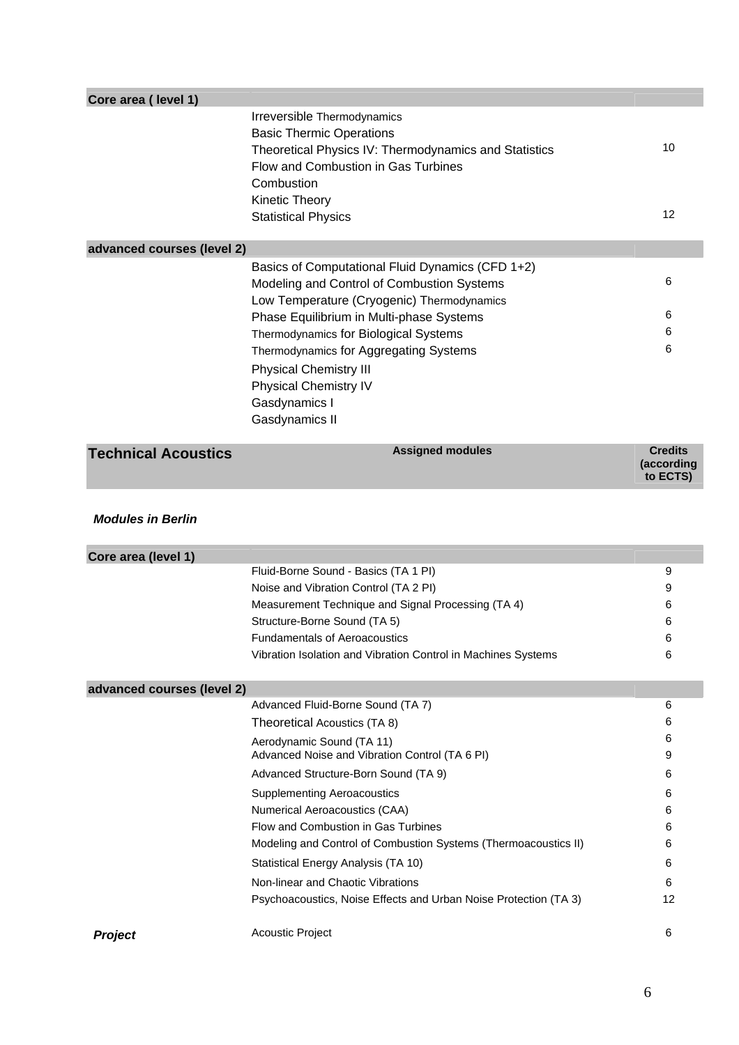| Core area (level 1)        |                                                                                                                                                                              |                                          |
|----------------------------|------------------------------------------------------------------------------------------------------------------------------------------------------------------------------|------------------------------------------|
|                            | Irreversible Thermodynamics<br><b>Basic Thermic Operations</b><br>Theoretical Physics IV: Thermodynamics and Statistics<br>Flow and Combustion in Gas Turbines<br>Combustion | 10                                       |
|                            | Kinetic Theory<br><b>Statistical Physics</b>                                                                                                                                 | 12                                       |
| advanced courses (level 2) |                                                                                                                                                                              |                                          |
|                            | Basics of Computational Fluid Dynamics (CFD 1+2)<br>Modeling and Control of Combustion Systems<br>Low Temperature (Cryogenic) Thermodynamics                                 | 6                                        |
|                            | Phase Equilibrium in Multi-phase Systems                                                                                                                                     | 6                                        |
|                            | Thermodynamics for Biological Systems                                                                                                                                        | 6                                        |
|                            | Thermodynamics for Aggregating Systems<br><b>Physical Chemistry III</b><br><b>Physical Chemistry IV</b><br>Gasdynamics I<br>Gasdynamics II                                   | 6                                        |
| <b>Technical Acoustics</b> | <b>Assigned modules</b>                                                                                                                                                      | <b>Credits</b><br>(according<br>to ECTS) |
| <b>Modules in Berlin</b>   |                                                                                                                                                                              |                                          |
| Core area (level 1)        |                                                                                                                                                                              |                                          |
|                            | Fluid-Borne Sound - Basics (TA 1 PI)                                                                                                                                         | 9                                        |
|                            | Noise and Vibration Control (TA 2 PI)                                                                                                                                        | 9                                        |
|                            | Measurement Technique and Signal Processing (TA 4)                                                                                                                           | 6                                        |
|                            | Structure-Borne Sound (TA 5)                                                                                                                                                 | 6                                        |
|                            | <b>Fundamentals of Aeroacoustics</b><br>Vibration Isolation and Vibration Control in Machines Systems                                                                        | 6<br>6                                   |
|                            |                                                                                                                                                                              |                                          |
| advanced courses (level 2) |                                                                                                                                                                              |                                          |
|                            | Advanced Fluid-Borne Sound (TA 7)                                                                                                                                            | 6                                        |
|                            | Theoretical Acoustics (TA 8)                                                                                                                                                 | 6                                        |
|                            | Aerodynamic Sound (TA 11)                                                                                                                                                    | 6                                        |
|                            | Advanced Noise and Vibration Control (TA 6 PI)                                                                                                                               | 9                                        |
|                            | Advanced Structure-Born Sound (TA 9)                                                                                                                                         | 6                                        |
|                            | <b>Supplementing Aeroacoustics</b><br>Numerical Aeroacoustics (CAA)                                                                                                          | 6<br>6                                   |
|                            | Flow and Combustion in Gas Turbines                                                                                                                                          | 6                                        |
|                            | Modeling and Control of Combustion Systems (Thermoacoustics II)                                                                                                              | 6                                        |
|                            | Statistical Energy Analysis (TA 10)                                                                                                                                          | 6                                        |
|                            | Non-linear and Chaotic Vibrations                                                                                                                                            | 6                                        |
|                            | Psychoacoustics, Noise Effects and Urban Noise Protection (TA 3)                                                                                                             | 12                                       |
| <b>Project</b>             | <b>Acoustic Project</b>                                                                                                                                                      | 6                                        |